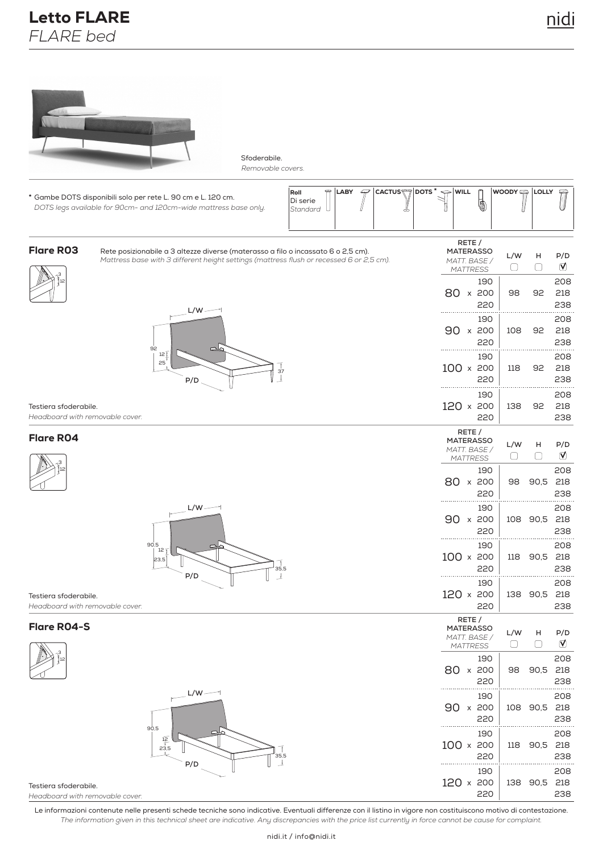

Sfoderabile. *Removable covers.*

| * Gambe DOTS disponibili solo per rete L. 90 cm e L. 120 cm.<br>DOTS legs available for 90cm- and 120cm-wide mattress base only.                                                                  | ⇔<br>4<br><b>CACTUS</b><br>DOTS <sup>*</sup><br>LABY<br>Roll<br>Di serie<br>Standard | $\Leftarrow$ WILL<br>Ō                                        | WOODY         | <b>LOLLY</b> | ڪ                 |
|---------------------------------------------------------------------------------------------------------------------------------------------------------------------------------------------------|--------------------------------------------------------------------------------------|---------------------------------------------------------------|---------------|--------------|-------------------|
| <b>Flare RO3</b><br>Rete posizionabile a 3 altezze diverse (materasso a filo o incassato 6 o 2,5 cm).<br>Mattress base with 3 different height settings (mattress flush or recessed 6 or 2,5 cm). |                                                                                      | RETE /<br><b>MATERASSO</b><br>MATT. BASE /<br><b>MATTRESS</b> | L/W<br>$\Box$ | н<br>$\Box$  | P/D<br>℧          |
| $L/W -$                                                                                                                                                                                           |                                                                                      | 190<br>80 x 200<br>220                                        | 98            | 92           | 208<br>218<br>238 |
| 92                                                                                                                                                                                                |                                                                                      | 190<br>90 x<br>200<br>220                                     | 108           | 92           | 208<br>218<br>238 |
| 12 <sup>7</sup><br>25<br>P/D                                                                                                                                                                      | 37                                                                                   | 190<br>$100 \times 200$<br>220                                | 118           | 92           | 208<br>218<br>238 |
| Testiera sfoderabile.<br>Headboard with removable cover.                                                                                                                                          |                                                                                      | 190<br>$120 \times 200$<br>220                                | 138           | 92           | 208<br>218<br>238 |
| <b>Flare RO4</b>                                                                                                                                                                                  |                                                                                      | RETE /<br><b>MATERASSO</b><br>MATT. BASE /<br><b>MATTRESS</b> | L/W<br>U      | н<br>U       | P/D<br>℧          |
|                                                                                                                                                                                                   |                                                                                      | 190<br>80 x 200<br>220                                        | 98            | 90,5         | 208<br>218<br>238 |
| $L/W -$                                                                                                                                                                                           |                                                                                      | 190<br>$90 \times 200$<br>220                                 | 108           | 90,5         | 208<br>218<br>238 |
| 90,5<br>12<br>23,5<br>P/D                                                                                                                                                                         | 35,5                                                                                 | 190<br>100 x 200<br>220                                       | 118           | 90,5         | 208<br>218<br>238 |
| Testiera sfoderabile.<br>Headboard with removable cover.                                                                                                                                          |                                                                                      | 190<br>120 x 200<br>220                                       | 138           | 90,5         | 208<br>218<br>238 |
| <b>Flare RO4-S</b>                                                                                                                                                                                |                                                                                      | RETE /<br><b>MATERASSO</b><br>MATT. BASE /<br><b>MATTRESS</b> | L/W<br>C      | н            | P/D<br>ℭ          |
|                                                                                                                                                                                                   |                                                                                      | 190<br>80 x 200<br>220                                        | 98            | 90,5         | 208<br>218<br>238 |
| $L/W -$                                                                                                                                                                                           |                                                                                      | 190<br>90 x 200<br>220                                        | 108 90,5      |              | 208<br>218<br>238 |
| 90,5<br>$\frac{12}{2}$<br>23,5<br>P/D                                                                                                                                                             | 35,5                                                                                 | 190<br>100 x 200<br>220                                       | 118           | 90,5         | 208<br>218<br>238 |
| Testiera sfoderabile.<br>Headboard with removable cover                                                                                                                                           |                                                                                      | 190<br>120 x 200<br>220                                       | 138 90,5      |              | 208<br>218<br>238 |

*Headboard with removable cover.*

Le informazioni contenute nelle presenti schede tecniche sono indicative. Eventuali differenze con il listino in vigore non costituiscono motivo di contestazione. *The information given in this technical sheet are indicative. Any discrepancies with the price list currently in force cannot be cause for complaint.*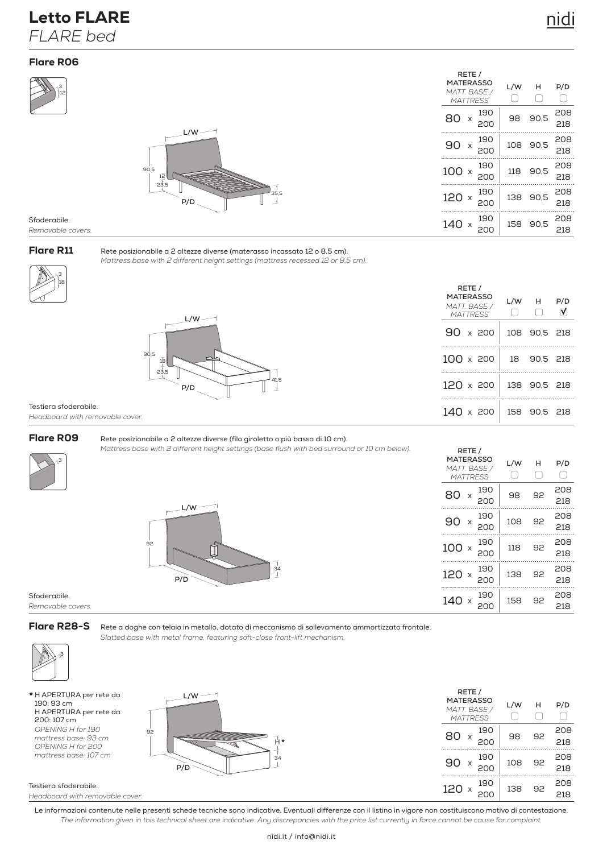## Letto FLARE *FLARE bed*



*Removable covers.*

18 3

## Flare R11

Rete posizionabile a 2 altezze diverse (materasso incassato 12 o 8,5 cm). *Mattress base with 2 different height settings (mattress recessed 12 or 8,5 cm).*



Testiera sfoderabile.

3

*Headboard with removable cover.*



#### Rete posizionabile a 2 altezze diverse (filo giroletto o più bassa di 10 cm).

*Mattress base with 2 different height settings (base flush with bed surround or 10 cm below).*



Sfoderabile. *Removable covers.*

### Flare R28-S

Rete a doghe con telaio in metallo, dotato di meccanismo di sollevamento ammortizzato frontale. *Slatted base with metal frame, featuring soft-close front-lift mechanism.*



\* H APERTURA per rete da 190: 93 cm H APERTURA per rete da 200: 107 cm *OPENING H for 190 mattress base: 93 cm OPENING H for 200 mattress base: 107 cm*



| L/W·                                                                                                                                                                                                                                       | RETE /<br><b>MATERASSO</b><br>MATT. BASE /<br><b>MATTRESS</b> | L/W | н  | P/D        |
|--------------------------------------------------------------------------------------------------------------------------------------------------------------------------------------------------------------------------------------------|---------------------------------------------------------------|-----|----|------------|
| Ĥ*<br>$\mathbb{Z}$                                                                                                                                                                                                                         | 190<br>80<br>200                                              | 98  | 92 | 208<br>218 |
| and the contract of the contract of the contract of the contract of the contract of the contract of the contract of the contract of the contract of the contract of the contract of the contract of the contract of the contra<br>34<br>٬Ď | 190<br>90<br>200                                              | 108 | 92 | 208<br>218 |
|                                                                                                                                                                                                                                            | 190<br>120<br><b>200</b>                                      | 138 | 92 | 208<br>218 |

#### Testiera sfoderabile. *Headboard with removable cover.*

Le informazioni contenute nelle presenti schede tecniche sono indicative. Eventuali differenze con il listino in vigore non costituiscono motivo di contestazione. *The information given in this technical sheet are indicative. Any discrepancies with the price list currently in force cannot be cause for complaint.*